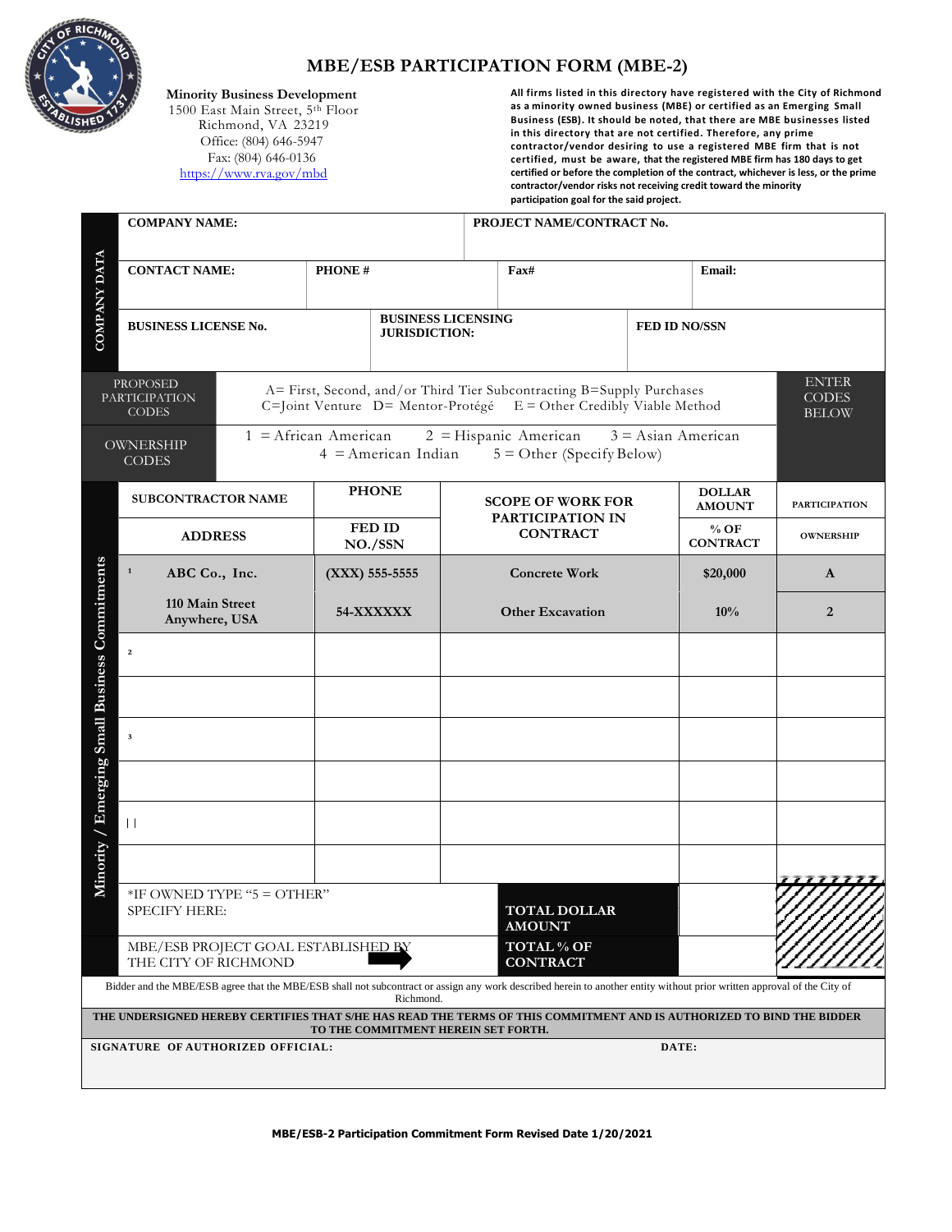

## **MBE/ESB PARTICIPATION FORM (MBE-2)**

 **Minority Business Development**

 1500 East Main Street, 5th Floor Richmond, VA 23219 Office: (804) 646-5947 Fax: (804) 646-0136 https://www.rva.gov/mbd

**All firms listed in this directory have registered with the City of Richmond as a minority owned business (MBE) or certified as an Emerging Small Business (ESB). It should be noted, that there are MBE businesses listed in this directory that are not certified. Therefore, any prime contractor/vendor desiring to use a registered MBE firm that is not certified, must be aware, that the registered MBE firm has 180 days to get certified or before the completion of the contract, whichever is less, or the prime contractor/vendor risks not receiving credit toward the minority participation goal for the said project.**

|                                                | <b>COMPANY NAME:</b>                                    |                                     |                      |                       | PROJECT NAME/CONTRACT No.                                                                                                                                               |  |                                |                                              |  |
|------------------------------------------------|---------------------------------------------------------|-------------------------------------|----------------------|-----------------------|-------------------------------------------------------------------------------------------------------------------------------------------------------------------------|--|--------------------------------|----------------------------------------------|--|
| <b>COMPANY DATA</b>                            | <b>CONTACT NAME:</b>                                    |                                     | PHONE#               |                       | Fax#                                                                                                                                                                    |  | Email:                         |                                              |  |
|                                                | <b>BUSINESS LICENSE No.</b>                             |                                     | <b>JURISDICTION:</b> |                       | <b>BUSINESS LICENSING</b>                                                                                                                                               |  | <b>FED ID NO/SSN</b>           |                                              |  |
|                                                | <b>PROPOSED</b><br><b>PARTICIPATION</b><br><b>CODES</b> |                                     |                      |                       | A= First, Second, and/or Third Tier Subcontracting B=Supply Purchases<br>C=Joint Venture D= Mentor-Protégé E = Other Credibly Viable Method                             |  |                                | <b>ENTER</b><br><b>CODES</b><br><b>BELOW</b> |  |
|                                                | OWNERSHIP<br><b>CODES</b>                               | $1 =$ African American              |                      | $4$ = American Indian | $2 =$ Hispanic American<br>$5 =$ Other (Specify Below)                                                                                                                  |  | $3 =$ Asian American           |                                              |  |
| Minority / Emerging Small Business Commitments | <b>SUBCONTRACTOR NAME</b>                               |                                     | <b>PHONE</b>         |                       | <b>SCOPE OF WORK FOR</b><br>PARTICIPATION IN<br><b>CONTRACT</b>                                                                                                         |  | <b>DOLLAR</b><br><b>AMOUNT</b> | <b>PARTICIPATION</b>                         |  |
|                                                | <b>ADDRESS</b>                                          |                                     | FED ID<br>NO./SSN    |                       |                                                                                                                                                                         |  | $%$ OF<br><b>CONTRACT</b>      | <b>OWNERSHIP</b>                             |  |
|                                                | $\mathbf 1$<br>ABC Co., Inc.                            |                                     | (XXX) 555-5555       |                       | <b>Concrete Work</b>                                                                                                                                                    |  | \$20,000                       | A                                            |  |
|                                                | 110 Main Street<br>Anywhere, USA                        |                                     | 54-XXXXXX            |                       | <b>Other Excavation</b>                                                                                                                                                 |  | 10%                            | 2                                            |  |
|                                                | $\mathbf 2$                                             |                                     |                      |                       |                                                                                                                                                                         |  |                                |                                              |  |
|                                                |                                                         |                                     |                      |                       |                                                                                                                                                                         |  |                                |                                              |  |
|                                                | $\mathbf 3$                                             |                                     |                      |                       |                                                                                                                                                                         |  |                                |                                              |  |
|                                                |                                                         |                                     |                      |                       |                                                                                                                                                                         |  |                                |                                              |  |
|                                                | $\vert \vert$                                           |                                     |                      |                       |                                                                                                                                                                         |  |                                |                                              |  |
|                                                |                                                         |                                     |                      |                       |                                                                                                                                                                         |  |                                |                                              |  |
|                                                | $*$ IF OWNED TYPE " $5 =$ OTHER"<br>SPECIFY HERE:       |                                     |                      |                       | <b>TOTAL DOLLAR</b><br><b>AMOUNT</b>                                                                                                                                    |  |                                |                                              |  |
|                                                | THE CITY OF RICHMOND                                    | MBE/ESB PROJECT GOAL ESTABLISHED BY |                      |                       | <b>TOTAL % OF</b><br><b>CONTRACT</b>                                                                                                                                    |  |                                |                                              |  |
|                                                |                                                         |                                     |                      | Richmond.             | Bidder and the MBE/ESB agree that the MBE/ESB shall not subcontract or assign any work described herein to another entity without prior written approval of the City of |  |                                |                                              |  |
|                                                |                                                         |                                     |                      |                       | THE UNDERSIGNED HEREBY CERTIFIES THAT S/HE HAS READ THE TERMS OF THIS COMMITMENT AND IS AUTHORIZED TO BIND THE BIDDER<br>TO THE COMMITMENT HEREIN SET FORTH.            |  |                                |                                              |  |
|                                                | SIGNATURE OF AUTHORIZED OFFICIAL:                       |                                     |                      |                       |                                                                                                                                                                         |  | DATE:                          |                                              |  |